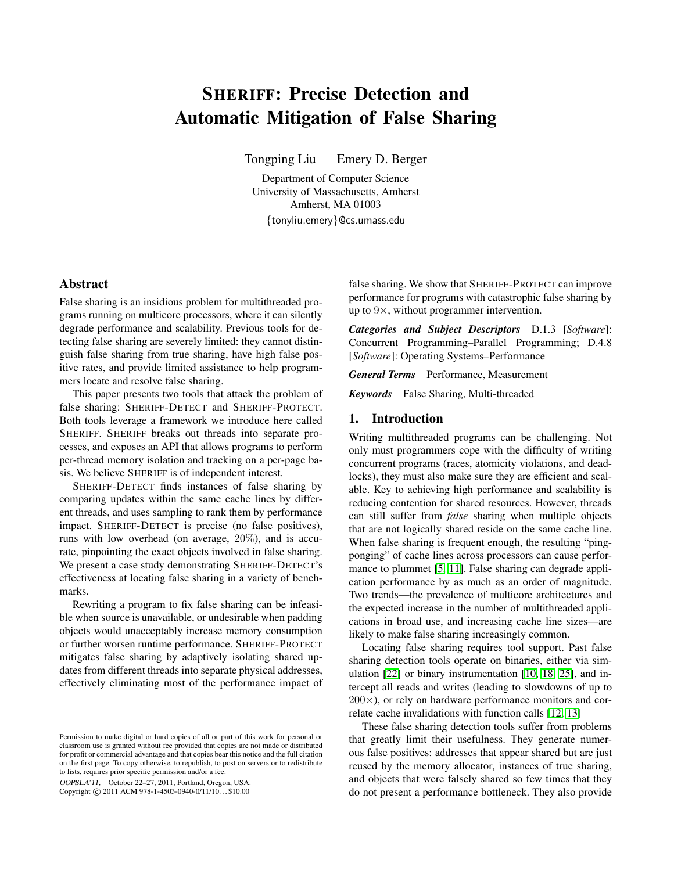# <span id="page-0-0"></span>SHERIFF: Precise Detection and Automatic Mitigation of False Sharing

Tongping Liu Emery D. Berger

Department of Computer Science University of Massachusetts, Amherst Amherst, MA 01003 {tonyliu,emery}@cs.umass.edu

## Abstract

False sharing is an insidious problem for multithreaded programs running on multicore processors, where it can silently degrade performance and scalability. Previous tools for detecting false sharing are severely limited: they cannot distinguish false sharing from true sharing, have high false positive rates, and provide limited assistance to help programmers locate and resolve false sharing.

This paper presents two tools that attack the problem of false sharing: SHERIFF-DETECT and SHERIFF-PROTECT. Both tools leverage a framework we introduce here called SHERIFF. SHERIFF breaks out threads into separate processes, and exposes an API that allows programs to perform per-thread memory isolation and tracking on a per-page basis. We believe SHERIFF is of independent interest.

SHERIFF-DETECT finds instances of false sharing by comparing updates within the same cache lines by different threads, and uses sampling to rank them by performance impact. SHERIFF-DETECT is precise (no false positives), runs with low overhead (on average, 20%), and is accurate, pinpointing the exact objects involved in false sharing. We present a case study demonstrating SHERIFF-DETECT's effectiveness at locating false sharing in a variety of benchmarks.

Rewriting a program to fix false sharing can be infeasible when source is unavailable, or undesirable when padding objects would unacceptably increase memory consumption or further worsen runtime performance. SHERIFF-PROTECT mitigates false sharing by adaptively isolating shared updates from different threads into separate physical addresses, effectively eliminating most of the performance impact of

OOPSLA'11, October 22–27, 2011, Portland, Oregon, USA.

Copyright © 2011 ACM 978-1-4503-0940-0/11/10... \$10.00

false sharing. We show that SHERIFF-PROTECT can improve performance for programs with catastrophic false sharing by up to  $9\times$ , without programmer intervention.

*Categories and Subject Descriptors* D.1.3 [*Software*]: Concurrent Programming–Parallel Programming; D.4.8 [*Software*]: Operating Systems–Performance

*General Terms* Performance, Measurement

*Keywords* False Sharing, Multi-threaded

## 1. Introduction

Writing multithreaded programs can be challenging. Not only must programmers cope with the difficulty of writing concurrent programs (races, atomicity violations, and deadlocks), they must also make sure they are efficient and scalable. Key to achieving high performance and scalability is reducing contention for shared resources. However, threads can still suffer from *false* sharing when multiple objects that are not logically shared reside on the same cache line. When false sharing is frequent enough, the resulting "pingponging" of cache lines across processors can cause performance to plummet [\[5,](#page-14-0) [11\]](#page-14-1). False sharing can degrade application performance by as much as an order of magnitude. Two trends—the prevalence of multicore architectures and the expected increase in the number of multithreaded applications in broad use, and increasing cache line sizes—are likely to make false sharing increasingly common.

Locating false sharing requires tool support. Past false sharing detection tools operate on binaries, either via simulation [\[22\]](#page-14-2) or binary instrumentation [\[10,](#page-14-3) [18,](#page-14-4) [25\]](#page-14-5), and intercept all reads and writes (leading to slowdowns of up to  $200\times$ ), or rely on hardware performance monitors and correlate cache invalidations with function calls [\[12,](#page-14-6) [13\]](#page-14-7)

These false sharing detection tools suffer from problems that greatly limit their usefulness. They generate numerous false positives: addresses that appear shared but are just reused by the memory allocator, instances of true sharing, and objects that were falsely shared so few times that they do not present a performance bottleneck. They also provide

Permission to make digital or hard copies of all or part of this work for personal or classroom use is granted without fee provided that copies are not made or distributed for profit or commercial advantage and that copies bear this notice and the full citation on the first page. To copy otherwise, to republish, to post on servers or to redistribute to lists, requires prior specific permission and/or a fee.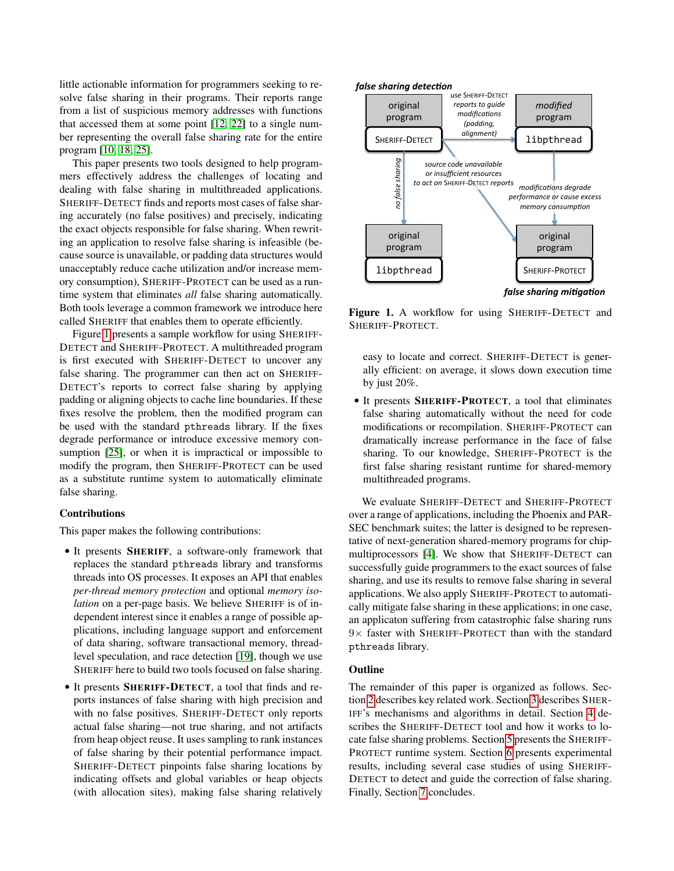little actionable information for programmers seeking to resolve false sharing in their programs. Their reports range from a list of suspicious memory addresses with functions that accessed them at some point [\[12,](#page-14-6) [22\]](#page-14-2) to a single number representing the overall false sharing rate for the entire program [\[10,](#page-14-3) [18,](#page-14-4) [25\]](#page-14-5).

This paper presents two tools designed to help programmers effectively address the challenges of locating and dealing with false sharing in multithreaded applications. SHERIFF-DETECT finds and reports most cases of false sharing accurately (no false positives) and precisely, indicating the exact objects responsible for false sharing. When rewriting an application to resolve false sharing is infeasible (because source is unavailable, or padding data structures would unacceptably reduce cache utilization and/or increase memory consumption), SHERIFF-PROTECT can be used as a runtime system that eliminates *all* false sharing automatically. Both tools leverage a common framework we introduce here called SHERIFF that enables them to operate efficiently. This paper presents two tools designed to help program<br>
The paper presents with allocation sites), making with all the sharing with false sharing with false sharing with false positives) and precisely, indicating<br>
ERHF-DE

Figure [1](#page-1-0) presents a sample workflow for using SHERIFF-DETECT and SHERIFF-PROTECT. A multithreaded program is first executed with SHERIFF-DETECT to uncover any false sharing. The programmer can then act on SHERIFF-DETECT's reports to correct false sharing by applying padding or aligning objects to cache line boundaries. If these fixes resolve the problem, then the modified program can be used with the standard pthreads library. If the fixes degrade performance or introduce excessive memory consumption [\[25\]](#page-14-5), or when it is impractical or impossible to modify the program, then SHERIFF-PROTECT can be used as a substitute runtime system to automatically eliminate false sharing.

#### Contributions

This paper makes the following contributions:

- It presents SHERIFF, a software-only framework that replaces the standard pthreads library and transforms threads into OS processes. It exposes an API that enables *per-thread memory protection* and optional *memory isolation* on a per-page basis. We believe SHERIFF is of independent interest since it enables a range of possible applications, including language support and enforcement of data sharing, software transactional memory, threadlevel speculation, and race detection [\[19\]](#page-14-8), though we use SHERIFF here to build two tools focused on false sharing.
- It presents SHERIFF-DETECT, a tool that finds and reports instances of false sharing with high precision and with no false positives. SHERIFF-DETECT only reports actual false sharing—not true sharing, and not artifacts from heap object reuse. It uses sampling to rank instances of false sharing by their potential performance impact. SHERIFF-DETECT pinpoints false sharing locations by indicating offsets and global variables or heap objects



<span id="page-1-0"></span>Figure 1. A workflow for using SHERIFF-DETECT and SHERIFF-PROTECT.

easy to locate and correct. SHERIFF-DETECT is generally efficient: on average, it slows down execution time by just 20%.

• It presents SHERIFF-PROTECT, a tool that eliminates false sharing automatically without the need for code modifications or recompilation. SHERIFF-PROTECT can dramatically increase performance in the face of false sharing. To our knowledge, SHERIFF-PROTECT is the first false sharing resistant runtime for shared-memory multithreaded programs.

We evaluate SHERIFF-DETECT and SHERIFF-PROTECT over a range of applications, including the Phoenix and PAR-SEC benchmark suites; the latter is designed to be representative of next-generation shared-memory programs for chipmultiprocessors [\[4\]](#page-14-9). We show that SHERIFF-DETECT can successfully guide programmers to the exact sources of false sharing, and use its results to remove false sharing in several applications. We also apply SHERIFF-PROTECT to automatically mitigate false sharing in these applications; in one case, an applicaton suffering from catastrophic false sharing runs  $9\times$  faster with SHERIFF-PROTECT than with the standard pthreads library.

## **Outline**

The remainder of this paper is organized as follows. Section [2](#page-2-0) describes key related work. Section [3](#page-2-1) describes SHER-IFF's mechanisms and algorithms in detail. Section [4](#page-5-0) describes the SHERIFF-DETECT tool and how it works to locate false sharing problems. Section [5](#page-7-0) presents the SHERIFF-PROTECT runtime system. Section [6](#page-8-0) presents experimental results, including several case studies of using SHERIFF-DETECT to detect and guide the correction of false sharing. Finally, Section [7](#page-13-0) concludes.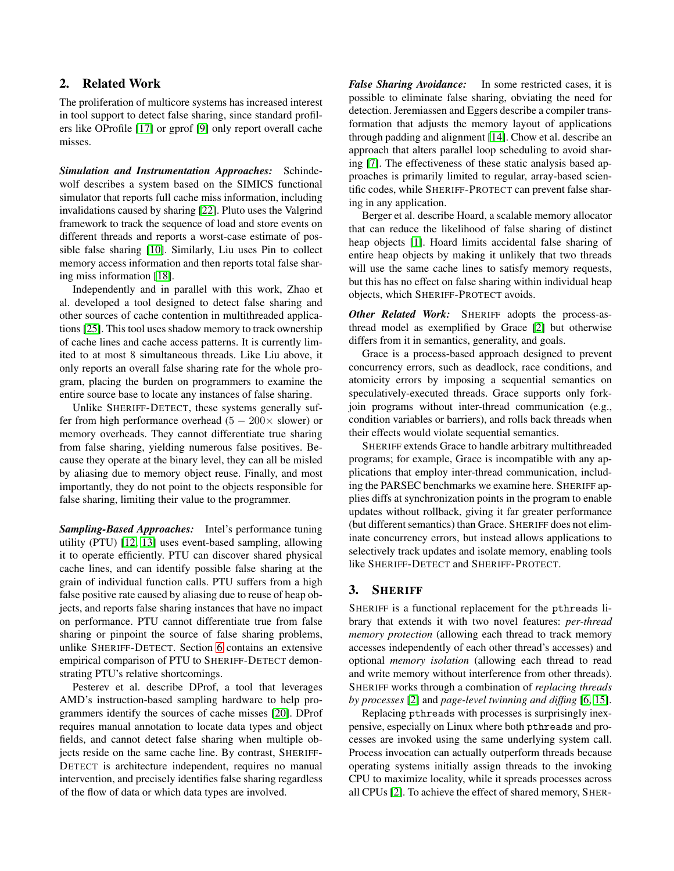# <span id="page-2-0"></span>2. Related Work

The proliferation of multicore systems has increased interest in tool support to detect false sharing, since standard profilers like OProfile [\[17\]](#page-14-10) or gprof [\[9\]](#page-14-11) only report overall cache misses.

*Simulation and Instrumentation Approaches:* Schindewolf describes a system based on the SIMICS functional simulator that reports full cache miss information, including invalidations caused by sharing [\[22\]](#page-14-2). Pluto uses the Valgrind framework to track the sequence of load and store events on different threads and reports a worst-case estimate of possible false sharing [\[10\]](#page-14-3). Similarly, Liu uses Pin to collect memory access information and then reports total false sharing miss information [\[18\]](#page-14-4).

Independently and in parallel with this work, Zhao et al. developed a tool designed to detect false sharing and other sources of cache contention in multithreaded applications [\[25\]](#page-14-5). This tool uses shadow memory to track ownership of cache lines and cache access patterns. It is currently limited to at most 8 simultaneous threads. Like Liu above, it only reports an overall false sharing rate for the whole program, placing the burden on programmers to examine the entire source base to locate any instances of false sharing.

Unlike SHERIFF-DETECT, these systems generally suffer from high performance overhead  $(5 - 200 \times$  slower) or memory overheads. They cannot differentiate true sharing from false sharing, yielding numerous false positives. Because they operate at the binary level, they can all be misled by aliasing due to memory object reuse. Finally, and most importantly, they do not point to the objects responsible for false sharing, limiting their value to the programmer.

*Sampling-Based Approaches:* Intel's performance tuning utility (PTU) [\[12,](#page-14-6) [13\]](#page-14-7) uses event-based sampling, allowing it to operate efficiently. PTU can discover shared physical cache lines, and can identify possible false sharing at the grain of individual function calls. PTU suffers from a high false positive rate caused by aliasing due to reuse of heap objects, and reports false sharing instances that have no impact on performance. PTU cannot differentiate true from false sharing or pinpoint the source of false sharing problems, unlike SHERIFF-DETECT. Section [6](#page-8-0) contains an extensive empirical comparison of PTU to SHERIFF-DETECT demonstrating PTU's relative shortcomings.

Pesterev et al. describe DProf, a tool that leverages AMD's instruction-based sampling hardware to help programmers identify the sources of cache misses [\[20\]](#page-14-12). DProf requires manual annotation to locate data types and object fields, and cannot detect false sharing when multiple objects reside on the same cache line. By contrast, SHERIFF-DETECT is architecture independent, requires no manual intervention, and precisely identifies false sharing regardless of the flow of data or which data types are involved.

*False Sharing Avoidance:* In some restricted cases, it is possible to eliminate false sharing, obviating the need for detection. Jeremiassen and Eggers describe a compiler transformation that adjusts the memory layout of applications through padding and alignment [\[14\]](#page-14-13). Chow et al. describe an approach that alters parallel loop scheduling to avoid sharing [\[7\]](#page-14-14). The effectiveness of these static analysis based approaches is primarily limited to regular, array-based scientific codes, while SHERIFF-PROTECT can prevent false sharing in any application.

Berger et al. describe Hoard, a scalable memory allocator that can reduce the likelihood of false sharing of distinct heap objects [\[1\]](#page-14-15). Hoard limits accidental false sharing of entire heap objects by making it unlikely that two threads will use the same cache lines to satisfy memory requests, but this has no effect on false sharing within individual heap objects, which SHERIFF-PROTECT avoids.

*Other Related Work:* SHERIFF adopts the process-asthread model as exemplified by Grace [\[2\]](#page-14-16) but otherwise differs from it in semantics, generality, and goals.

Grace is a process-based approach designed to prevent concurrency errors, such as deadlock, race conditions, and atomicity errors by imposing a sequential semantics on speculatively-executed threads. Grace supports only forkjoin programs without inter-thread communication (e.g., condition variables or barriers), and rolls back threads when their effects would violate sequential semantics.

SHERIFF extends Grace to handle arbitrary multithreaded programs; for example, Grace is incompatible with any applications that employ inter-thread communication, including the PARSEC benchmarks we examine here. SHERIFF applies diffs at synchronization points in the program to enable updates without rollback, giving it far greater performance (but different semantics) than Grace. SHERIFF does not eliminate concurrency errors, but instead allows applications to selectively track updates and isolate memory, enabling tools like SHERIFF-DETECT and SHERIFF-PROTECT.

# <span id="page-2-1"></span>3. SHERIFF

SHERIFF is a functional replacement for the pthreads library that extends it with two novel features: *per-thread memory protection* (allowing each thread to track memory accesses independently of each other thread's accesses) and optional *memory isolation* (allowing each thread to read and write memory without interference from other threads). SHERIFF works through a combination of *replacing threads by processes* [\[2\]](#page-14-16) and *page-level twinning and diffing* [\[6,](#page-14-17) [15\]](#page-14-18).

Replacing pthreads with processes is surprisingly inexpensive, especially on Linux where both pthreads and processes are invoked using the same underlying system call. Process invocation can actually outperform threads because operating systems initially assign threads to the invoking CPU to maximize locality, while it spreads processes across all CPUs [\[2\]](#page-14-16). To achieve the effect of shared memory, SHER-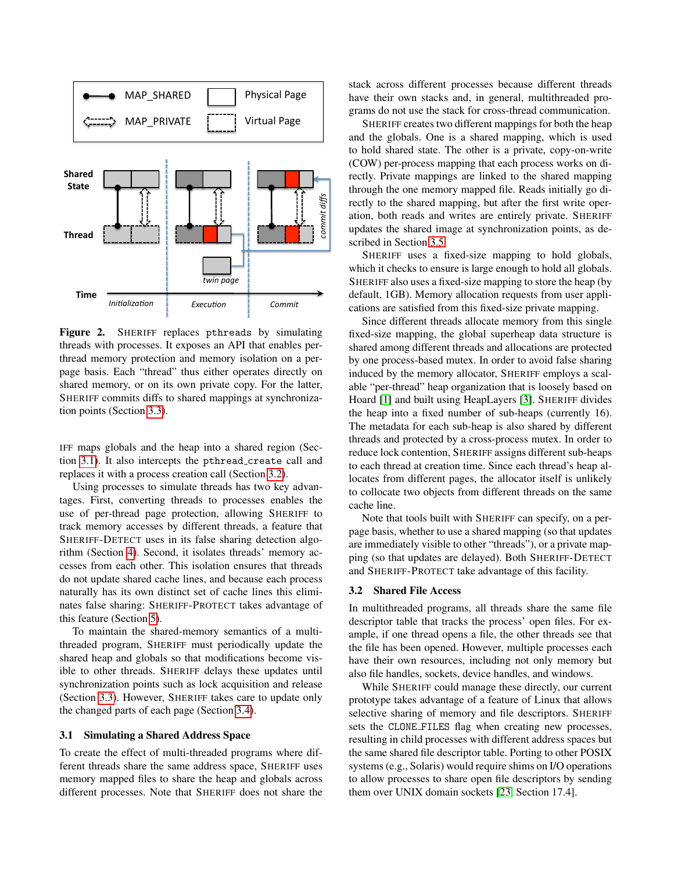

<span id="page-3-2"></span>Figure 2. SHERIFF replaces pthreads by simulating threads with processes. It exposes an API that enables perthread memory protection and memory isolation on a perpage basis. Each "thread" thus either operates directly on shared memory, or on its own private copy. For the latter, SHERIFF commits diffs to shared mappings at synchronization points (Section [3.3\)](#page-4-0).

IFF maps globals and the heap into a shared region (Section [3.1\)](#page-3-0). It also intercepts the pthread create call and replaces it with a process creation call (Section [3.2\)](#page-3-1).

Using processes to simulate threads has two key advantages. First, converting threads to processes enables the use of per-thread page protection, allowing SHERIFF to track memory accesses by different threads, a feature that SHERIFF-DETECT uses in its false sharing detection algorithm (Section [4\)](#page-5-0). Second, it isolates threads' memory accesses from each other. This isolation ensures that threads do not update shared cache lines, and because each process naturally has its own distinct set of cache lines this eliminates false sharing: SHERIFF-PROTECT takes advantage of this feature (Section [5\)](#page-7-0).

To maintain the shared-memory semantics of a multithreaded program, SHERIFF must periodically update the shared heap and globals so that modifications become visible to other threads. SHERIFF delays these updates until synchronization points such as lock acquisition and release (Section [3.3\)](#page-4-0). However, SHERIFF takes care to update only the changed parts of each page (Section [3.4\)](#page-4-1).

## <span id="page-3-0"></span>3.1 Simulating a Shared Address Space

To create the effect of multi-threaded programs where different threads share the same address space, SHERIFF uses memory mapped files to share the heap and globals across different processes. Note that SHERIFF does not share the

stack across different processes because different threads have their own stacks and, in general, multithreaded programs do not use the stack for cross-thread communication.

SHERIFF creates two different mappings for both the heap and the globals. One is a shared mapping, which is used to hold shared state. The other is a private, copy-on-write (COW) per-process mapping that each process works on directly. Private mappings are linked to the shared mapping through the one memory mapped file. Reads initially go directly to the shared mapping, but after the first write operation, both reads and writes are entirely private. SHERIFF updates the shared image at synchronization points, as described in Section [3.5.](#page-4-2)

SHERIFF uses a fixed-size mapping to hold globals, which it checks to ensure is large enough to hold all globals. SHERIFF also uses a fixed-size mapping to store the heap (by default, 1GB). Memory allocation requests from user applications are satisfied from this fixed-size private mapping.

Since different threads allocate memory from this single fixed-size mapping, the global superheap data structure is shared among different threads and allocations are protected by one process-based mutex. In order to avoid false sharing induced by the memory allocator, SHERIFF employs a scalable "per-thread" heap organization that is loosely based on Hoard [\[1\]](#page-14-15) and built using HeapLayers [\[3\]](#page-14-19). SHERIFF divides the heap into a fixed number of sub-heaps (currently 16). The metadata for each sub-heap is also shared by different threads and protected by a cross-process mutex. In order to reduce lock contention, SHERIFF assigns different sub-heaps to each thread at creation time. Since each thread's heap allocates from different pages, the allocator itself is unlikely to collocate two objects from different threads on the same cache line.

Note that tools built with SHERIFF can specify, on a perpage basis, whether to use a shared mapping (so that updates are immediately visible to other "threads"), or a private mapping (so that updates are delayed). Both SHERIFF-DETECT and SHERIFF-PROTECT take advantage of this facility.

#### <span id="page-3-1"></span>3.2 Shared File Access

In multithreaded programs, all threads share the same file descriptor table that tracks the process' open files. For example, if one thread opens a file, the other threads see that the file has been opened. However, multiple processes each have their own resources, including not only memory but also file handles, sockets, device handles, and windows.

While SHERIFF could manage these directly, our current prototype takes advantage of a feature of Linux that allows selective sharing of memory and file descriptors. SHERIFF sets the CLONE FILES flag when creating new processes, resulting in child processes with different address spaces but the same shared file descriptor table. Porting to other POSIX systems (e.g., Solaris) would require shims on I/O operations to allow processes to share open file descriptors by sending them over UNIX domain sockets [\[23,](#page-14-20) Section 17.4].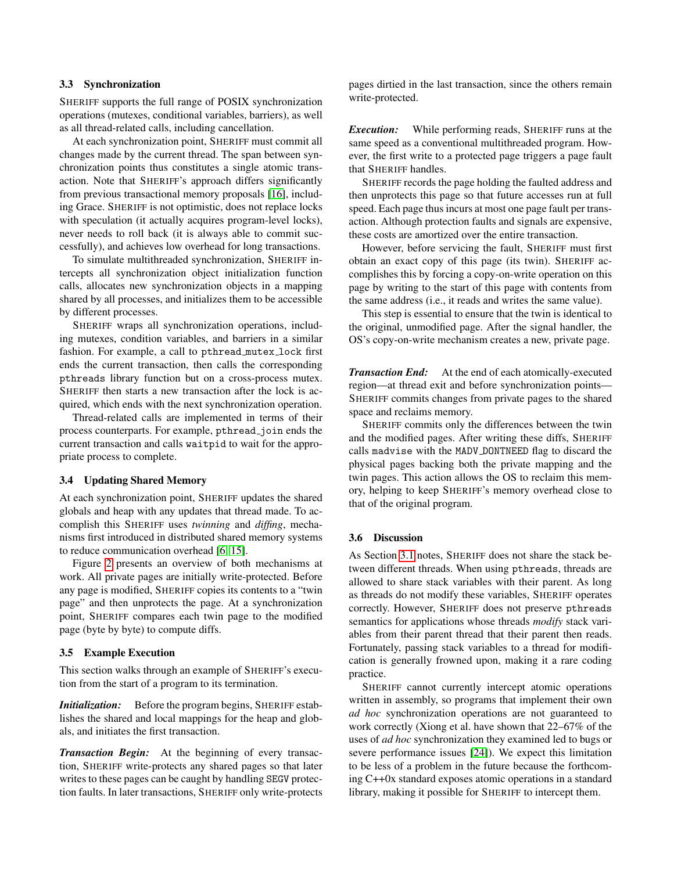## <span id="page-4-0"></span>3.3 Synchronization

SHERIFF supports the full range of POSIX synchronization operations (mutexes, conditional variables, barriers), as well as all thread-related calls, including cancellation.

At each synchronization point, SHERIFF must commit all changes made by the current thread. The span between synchronization points thus constitutes a single atomic transaction. Note that SHERIFF's approach differs significantly from previous transactional memory proposals [\[16\]](#page-14-21), including Grace. SHERIFF is not optimistic, does not replace locks with speculation (it actually acquires program-level locks), never needs to roll back (it is always able to commit successfully), and achieves low overhead for long transactions.

To simulate multithreaded synchronization, SHERIFF intercepts all synchronization object initialization function calls, allocates new synchronization objects in a mapping shared by all processes, and initializes them to be accessible by different processes.

SHERIFF wraps all synchronization operations, including mutexes, condition variables, and barriers in a similar fashion. For example, a call to pthread mutex lock first ends the current transaction, then calls the corresponding pthreads library function but on a cross-process mutex. SHERIFF then starts a new transaction after the lock is acquired, which ends with the next synchronization operation.

Thread-related calls are implemented in terms of their process counterparts. For example, pthread\_join ends the current transaction and calls waitpid to wait for the appropriate process to complete.

## <span id="page-4-1"></span>3.4 Updating Shared Memory

At each synchronization point, SHERIFF updates the shared globals and heap with any updates that thread made. To accomplish this SHERIFF uses *twinning* and *diffing*, mechanisms first introduced in distributed shared memory systems to reduce communication overhead [\[6,](#page-14-17) [15\]](#page-14-18).

Figure [2](#page-3-2) presents an overview of both mechanisms at work. All private pages are initially write-protected. Before any page is modified, SHERIFF copies its contents to a "twin page" and then unprotects the page. At a synchronization point, SHERIFF compares each twin page to the modified page (byte by byte) to compute diffs.

## <span id="page-4-2"></span>3.5 Example Execution

This section walks through an example of SHERIFF's execution from the start of a program to its termination.

*Initialization:* Before the program begins, SHERIFF establishes the shared and local mappings for the heap and globals, and initiates the first transaction.

*Transaction Begin:* At the beginning of every transaction, SHERIFF write-protects any shared pages so that later writes to these pages can be caught by handling SEGV protection faults. In later transactions, SHERIFF only write-protects pages dirtied in the last transaction, since the others remain write-protected.

*Execution:* While performing reads, SHERIFF runs at the same speed as a conventional multithreaded program. However, the first write to a protected page triggers a page fault that SHERIFF handles.

SHERIFF records the page holding the faulted address and then unprotects this page so that future accesses run at full speed. Each page thus incurs at most one page fault per transaction. Although protection faults and signals are expensive, these costs are amortized over the entire transaction.

However, before servicing the fault, SHERIFF must first obtain an exact copy of this page (its twin). SHERIFF accomplishes this by forcing a copy-on-write operation on this page by writing to the start of this page with contents from the same address (i.e., it reads and writes the same value).

This step is essential to ensure that the twin is identical to the original, unmodified page. After the signal handler, the OS's copy-on-write mechanism creates a new, private page.

*Transaction End:* At the end of each atomically-executed region—at thread exit and before synchronization points— SHERIFF commits changes from private pages to the shared space and reclaims memory.

SHERIFF commits only the differences between the twin and the modified pages. After writing these diffs, SHERIFF calls madvise with the MADV DONTNEED flag to discard the physical pages backing both the private mapping and the twin pages. This action allows the OS to reclaim this memory, helping to keep SHERIFF's memory overhead close to that of the original program.

## 3.6 Discussion

As Section [3.1](#page-3-0) notes, SHERIFF does not share the stack between different threads. When using pthreads, threads are allowed to share stack variables with their parent. As long as threads do not modify these variables, SHERIFF operates correctly. However, SHERIFF does not preserve pthreads semantics for applications whose threads *modify* stack variables from their parent thread that their parent then reads. Fortunately, passing stack variables to a thread for modification is generally frowned upon, making it a rare coding practice.

SHERIFF cannot currently intercept atomic operations written in assembly, so programs that implement their own *ad hoc* synchronization operations are not guaranteed to work correctly (Xiong et al. have shown that 22–67% of the uses of *ad hoc* synchronization they examined led to bugs or severe performance issues [\[24\]](#page-14-22)). We expect this limitation to be less of a problem in the future because the forthcoming C++0x standard exposes atomic operations in a standard library, making it possible for SHERIFF to intercept them.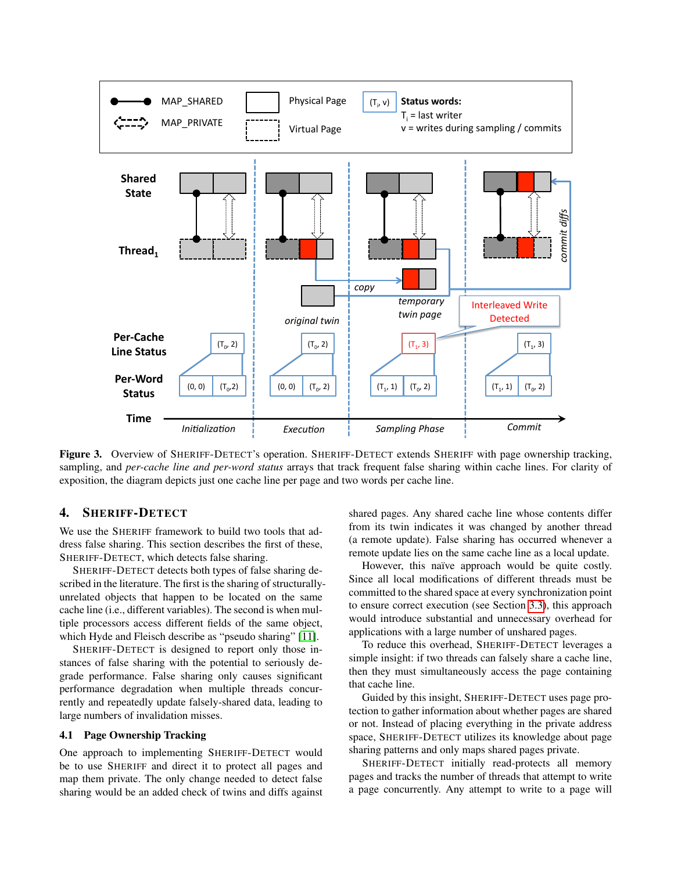

<span id="page-5-0"></span>Figure 3. Overview of SHERIFF-DETECT's operation. SHERIFF-DETECT extends SHERIFF with page ownership tracking, sampling, and *per-cache line and per-word status* arrays that track frequent false sharing within cache lines. For clarity of exposition, the diagram depicts just one cache line per page and two words per cache line.

## 4. SHERIFF-DETECT

We use the SHERIFF framework to build two tools that address false sharing. This section describes the first of these, SHERIFF-DETECT, which detects false sharing.

SHERIFF-DETECT detects both types of false sharing described in the literature. The first is the sharing of structurallyunrelated objects that happen to be located on the same cache line (i.e., different variables). The second is when multiple processors access different fields of the same object, which Hyde and Fleisch describe as "pseudo sharing" [\[11\]](#page-14-1).

SHERIFF-DETECT is designed to report only those instances of false sharing with the potential to seriously degrade performance. False sharing only causes significant performance degradation when multiple threads concurrently and repeatedly update falsely-shared data, leading to large numbers of invalidation misses.

## 4.1 Page Ownership Tracking

One approach to implementing SHERIFF-DETECT would be to use SHERIFF and direct it to protect all pages and map them private. The only change needed to detect false sharing would be an added check of twins and diffs against

shared pages. Any shared cache line whose contents differ from its twin indicates it was changed by another thread (a remote update). False sharing has occurred whenever a remote update lies on the same cache line as a local update.

However, this naïve approach would be quite costly. Since all local modifications of different threads must be committed to the shared space at every synchronization point to ensure correct execution (see Section [3.3\)](#page-4-0), this approach would introduce substantial and unnecessary overhead for applications with a large number of unshared pages.

To reduce this overhead, SHERIFF-DETECT leverages a simple insight: if two threads can falsely share a cache line, then they must simultaneously access the page containing that cache line.

Guided by this insight, SHERIFF-DETECT uses page protection to gather information about whether pages are shared or not. Instead of placing everything in the private address space, SHERIFF-DETECT utilizes its knowledge about page sharing patterns and only maps shared pages private.

SHERIFF-DETECT initially read-protects all memory pages and tracks the number of threads that attempt to write a page concurrently. Any attempt to write to a page will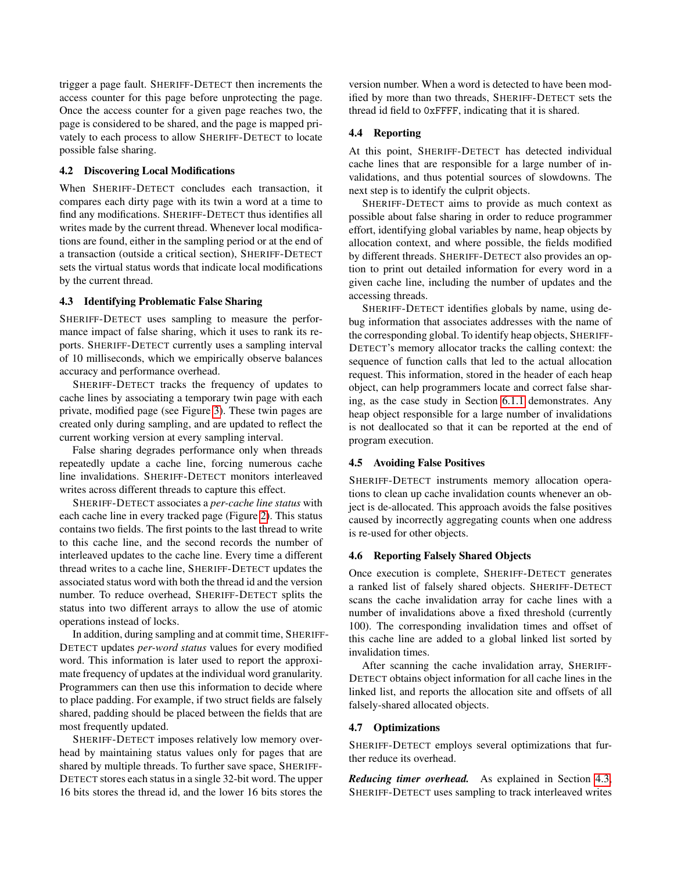trigger a page fault. SHERIFF-DETECT then increments the access counter for this page before unprotecting the page. Once the access counter for a given page reaches two, the page is considered to be shared, and the page is mapped privately to each process to allow SHERIFF-DETECT to locate possible false sharing.

## 4.2 Discovering Local Modifications

When SHERIFF-DETECT concludes each transaction, it compares each dirty page with its twin a word at a time to find any modifications. SHERIFF-DETECT thus identifies all writes made by the current thread. Whenever local modifications are found, either in the sampling period or at the end of a transaction (outside a critical section), SHERIFF-DETECT sets the virtual status words that indicate local modifications by the current thread.

## <span id="page-6-0"></span>4.3 Identifying Problematic False Sharing

SHERIFF-DETECT uses sampling to measure the performance impact of false sharing, which it uses to rank its reports. SHERIFF-DETECT currently uses a sampling interval of 10 milliseconds, which we empirically observe balances accuracy and performance overhead.

SHERIFF-DETECT tracks the frequency of updates to cache lines by associating a temporary twin page with each private, modified page (see Figure [3\)](#page-5-0). These twin pages are created only during sampling, and are updated to reflect the current working version at every sampling interval.

False sharing degrades performance only when threads repeatedly update a cache line, forcing numerous cache line invalidations. SHERIFF-DETECT monitors interleaved writes across different threads to capture this effect.

SHERIFF-DETECT associates a *per-cache line status* with each cache line in every tracked page (Figure [2\)](#page-3-2). This status contains two fields. The first points to the last thread to write to this cache line, and the second records the number of interleaved updates to the cache line. Every time a different thread writes to a cache line, SHERIFF-DETECT updates the associated status word with both the thread id and the version number. To reduce overhead, SHERIFF-DETECT splits the status into two different arrays to allow the use of atomic operations instead of locks.

In addition, during sampling and at commit time, SHERIFF-DETECT updates *per-word status* values for every modified word. This information is later used to report the approximate frequency of updates at the individual word granularity. Programmers can then use this information to decide where to place padding. For example, if two struct fields are falsely shared, padding should be placed between the fields that are most frequently updated.

SHERIFF-DETECT imposes relatively low memory overhead by maintaining status values only for pages that are shared by multiple threads. To further save space, SHERIFF-DETECT stores each status in a single 32-bit word. The upper 16 bits stores the thread id, and the lower 16 bits stores the

version number. When a word is detected to have been modified by more than two threads, SHERIFF-DETECT sets the thread id field to 0xFFFF, indicating that it is shared.

## 4.4 Reporting

At this point, SHERIFF-DETECT has detected individual cache lines that are responsible for a large number of invalidations, and thus potential sources of slowdowns. The next step is to identify the culprit objects.

SHERIFF-DETECT aims to provide as much context as possible about false sharing in order to reduce programmer effort, identifying global variables by name, heap objects by allocation context, and where possible, the fields modified by different threads. SHERIFF-DETECT also provides an option to print out detailed information for every word in a given cache line, including the number of updates and the accessing threads.

SHERIFF-DETECT identifies globals by name, using debug information that associates addresses with the name of the corresponding global. To identify heap objects, SHERIFF-DETECT's memory allocator tracks the calling context: the sequence of function calls that led to the actual allocation request. This information, stored in the header of each heap object, can help programmers locate and correct false sharing, as the case study in Section [6.1.1](#page-9-0) demonstrates. Any heap object responsible for a large number of invalidations is not deallocated so that it can be reported at the end of program execution.

#### 4.5 Avoiding False Positives

SHERIFF-DETECT instruments memory allocation operations to clean up cache invalidation counts whenever an object is de-allocated. This approach avoids the false positives caused by incorrectly aggregating counts when one address is re-used for other objects.

## 4.6 Reporting Falsely Shared Objects

Once execution is complete, SHERIFF-DETECT generates a ranked list of falsely shared objects. SHERIFF-DETECT scans the cache invalidation array for cache lines with a number of invalidations above a fixed threshold (currently 100). The corresponding invalidation times and offset of this cache line are added to a global linked list sorted by invalidation times.

After scanning the cache invalidation array, SHERIFF-DETECT obtains object information for all cache lines in the linked list, and reports the allocation site and offsets of all falsely-shared allocated objects.

#### <span id="page-6-1"></span>4.7 Optimizations

SHERIFF-DETECT employs several optimizations that further reduce its overhead.

*Reducing timer overhead.* As explained in Section [4.3,](#page-6-0) SHERIFF-DETECT uses sampling to track interleaved writes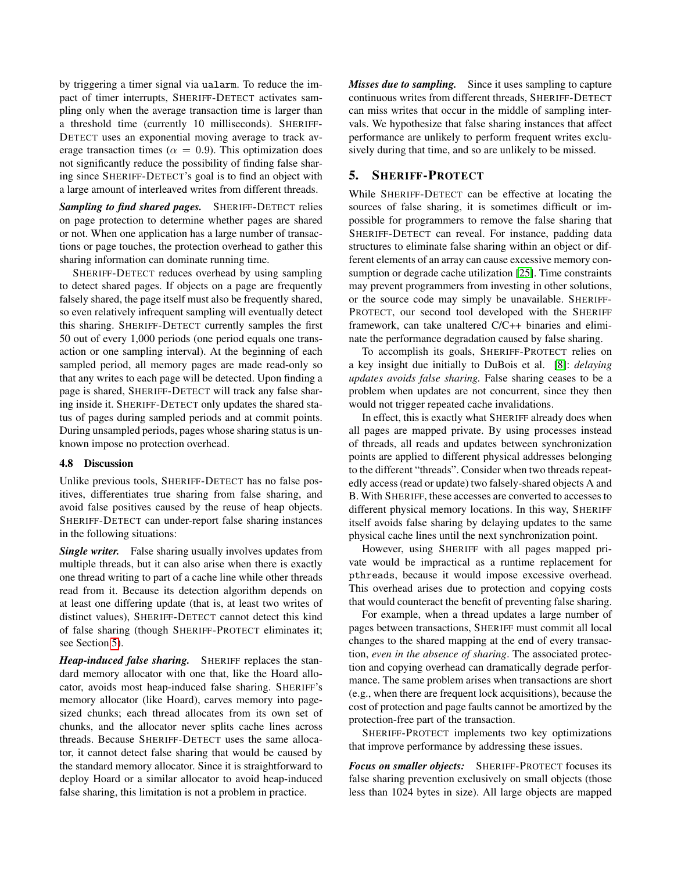by triggering a timer signal via ualarm. To reduce the impact of timer interrupts, SHERIFF-DETECT activates sampling only when the average transaction time is larger than a threshold time (currently 10 milliseconds). SHERIFF-DETECT uses an exponential moving average to track average transaction times ( $\alpha = 0.9$ ). This optimization does not significantly reduce the possibility of finding false sharing since SHERIFF-DETECT's goal is to find an object with a large amount of interleaved writes from different threads.

*Sampling to find shared pages.* SHERIFF-DETECT relies on page protection to determine whether pages are shared or not. When one application has a large number of transactions or page touches, the protection overhead to gather this sharing information can dominate running time.

SHERIFF-DETECT reduces overhead by using sampling to detect shared pages. If objects on a page are frequently falsely shared, the page itself must also be frequently shared, so even relatively infrequent sampling will eventually detect this sharing. SHERIFF-DETECT currently samples the first 50 out of every 1,000 periods (one period equals one transaction or one sampling interval). At the beginning of each sampled period, all memory pages are made read-only so that any writes to each page will be detected. Upon finding a page is shared, SHERIFF-DETECT will track any false sharing inside it. SHERIFF-DETECT only updates the shared status of pages during sampled periods and at commit points. During unsampled periods, pages whose sharing status is unknown impose no protection overhead.

#### 4.8 Discussion

Unlike previous tools, SHERIFF-DETECT has no false positives, differentiates true sharing from false sharing, and avoid false positives caused by the reuse of heap objects. SHERIFF-DETECT can under-report false sharing instances in the following situations:

*Single writer.* False sharing usually involves updates from multiple threads, but it can also arise when there is exactly one thread writing to part of a cache line while other threads read from it. Because its detection algorithm depends on at least one differing update (that is, at least two writes of distinct values), SHERIFF-DETECT cannot detect this kind of false sharing (though SHERIFF-PROTECT eliminates it; see Section [5\)](#page-7-0).

*Heap-induced false sharing.* SHERIFF replaces the standard memory allocator with one that, like the Hoard allocator, avoids most heap-induced false sharing. SHERIFF's memory allocator (like Hoard), carves memory into pagesized chunks; each thread allocates from its own set of chunks, and the allocator never splits cache lines across threads. Because SHERIFF-DETECT uses the same allocator, it cannot detect false sharing that would be caused by the standard memory allocator. Since it is straightforward to deploy Hoard or a similar allocator to avoid heap-induced false sharing, this limitation is not a problem in practice.

*Misses due to sampling.* Since it uses sampling to capture continuous writes from different threads, SHERIFF-DETECT can miss writes that occur in the middle of sampling intervals. We hypothesize that false sharing instances that affect performance are unlikely to perform frequent writes exclusively during that time, and so are unlikely to be missed.

# <span id="page-7-0"></span>5. SHERIFF-PROTECT

While SHERIFF-DETECT can be effective at locating the sources of false sharing, it is sometimes difficult or impossible for programmers to remove the false sharing that SHERIFF-DETECT can reveal. For instance, padding data structures to eliminate false sharing within an object or different elements of an array can cause excessive memory consumption or degrade cache utilization [\[25\]](#page-14-5). Time constraints may prevent programmers from investing in other solutions, or the source code may simply be unavailable. SHERIFF-PROTECT, our second tool developed with the SHERIFF framework, can take unaltered C/C++ binaries and eliminate the performance degradation caused by false sharing.

To accomplish its goals, SHERIFF-PROTECT relies on a key insight due initially to DuBois et al. [\[8\]](#page-14-23): *delaying updates avoids false sharing.* False sharing ceases to be a problem when updates are not concurrent, since they then would not trigger repeated cache invalidations.

In effect, this is exactly what SHERIFF already does when all pages are mapped private. By using processes instead of threads, all reads and updates between synchronization points are applied to different physical addresses belonging to the different "threads". Consider when two threads repeatedly access (read or update) two falsely-shared objects A and B. With SHERIFF, these accesses are converted to accesses to different physical memory locations. In this way, SHERIFF itself avoids false sharing by delaying updates to the same physical cache lines until the next synchronization point.

However, using SHERIFF with all pages mapped private would be impractical as a runtime replacement for pthreads, because it would impose excessive overhead. This overhead arises due to protection and copying costs that would counteract the benefit of preventing false sharing.

For example, when a thread updates a large number of pages between transactions, SHERIFF must commit all local changes to the shared mapping at the end of every transaction, *even in the absence of sharing*. The associated protection and copying overhead can dramatically degrade performance. The same problem arises when transactions are short (e.g., when there are frequent lock acquisitions), because the cost of protection and page faults cannot be amortized by the protection-free part of the transaction.

SHERIFF-PROTECT implements two key optimizations that improve performance by addressing these issues.

*Focus on smaller objects:* SHERIFF-PROTECT focuses its false sharing prevention exclusively on small objects (those less than 1024 bytes in size). All large objects are mapped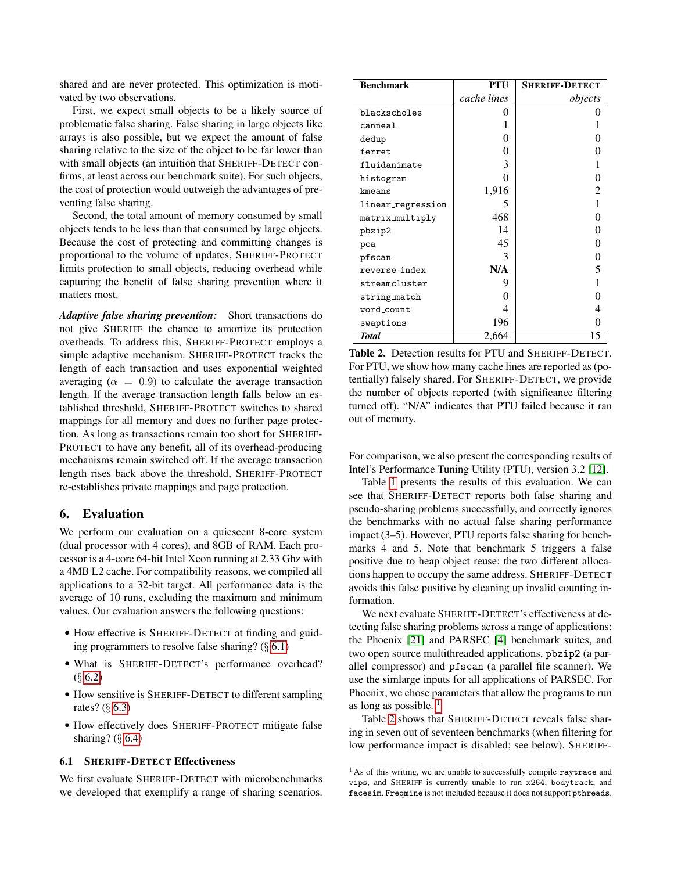shared and are never protected. This optimization is motivated by two observations.

First, we expect small objects to be a likely source of problematic false sharing. False sharing in large objects like arrays is also possible, but we expect the amount of false sharing relative to the size of the object to be far lower than with small objects (an intuition that SHERIFF-DETECT confirms, at least across our benchmark suite). For such objects, the cost of protection would outweigh the advantages of preventing false sharing.

Second, the total amount of memory consumed by small objects tends to be less than that consumed by large objects. Because the cost of protecting and committing changes is proportional to the volume of updates, SHERIFF-PROTECT limits protection to small objects, reducing overhead while capturing the benefit of false sharing prevention where it matters most.

*Adaptive false sharing prevention:* Short transactions do not give SHERIFF the chance to amortize its protection overheads. To address this, SHERIFF-PROTECT employs a simple adaptive mechanism. SHERIFF-PROTECT tracks the length of each transaction and uses exponential weighted averaging ( $\alpha = 0.9$ ) to calculate the average transaction length. If the average transaction length falls below an established threshold, SHERIFF-PROTECT switches to shared mappings for all memory and does no further page protection. As long as transactions remain too short for SHERIFF-PROTECT to have any benefit, all of its overhead-producing mechanisms remain switched off. If the average transaction length rises back above the threshold, SHERIFF-PROTECT re-establishes private mappings and page protection.

## <span id="page-8-0"></span>6. Evaluation

We perform our evaluation on a quiescent 8-core system (dual processor with 4 cores), and 8GB of RAM. Each processor is a 4-core 64-bit Intel Xeon running at 2.33 Ghz with a 4MB L2 cache. For compatibility reasons, we compiled all applications to a 32-bit target. All performance data is the average of 10 runs, excluding the maximum and minimum values. Our evaluation answers the following questions:

- How effective is SHERIFF-DETECT at finding and guiding programmers to resolve false sharing?  $(\S 6.1)$  $(\S 6.1)$
- What is SHERIFF-DETECT's performance overhead?  $(\S 6.2)$  $(\S 6.2)$
- How sensitive is SHERIFF-DETECT to different sampling rates? (§ [6.3\)](#page-11-0)
- How effectively does SHERIFF-PROTECT mitigate false sharing? (§ [6.4\)](#page-12-0)

# <span id="page-8-1"></span>6.1 SHERIFF-DETECT Effectiveness

We first evaluate SHERIFF-DETECT with microbenchmarks we developed that exemplify a range of sharing scenarios.

| <b>Benchmark</b>  | <b>PTU</b>  | <b>SHERIFF-DETECT</b> |
|-------------------|-------------|-----------------------|
|                   | cache lines | objects               |
| blackscholes      | 0           |                       |
| canneal           |             |                       |
| dedup             | 0           |                       |
| ferret            | 0           |                       |
| fluidanimate      | 3           |                       |
| histogram         | 0           |                       |
| kmeans            | 1,916       | 2                     |
| linear_regression | 5           |                       |
| matrix_multiply   | 468         | 0                     |
| pbzip2            | 14          |                       |
| pca               | 45          | 0                     |
| pfscan            | 3           | 0                     |
| reverse_index     | N/A         | 5                     |
| streamcluster     | 9           |                       |
| string_match      | 0           |                       |
| word_count        | 4           |                       |
| swaptions         | 196         |                       |
| <b>Total</b>      | 2,664       | 15                    |

<span id="page-8-2"></span>Table 2. Detection results for PTU and SHERIFF-DETECT. For PTU, we show how many cache lines are reported as (potentially) falsely shared. For SHERIFF-DETECT, we provide the number of objects reported (with significance filtering turned off). "N/A" indicates that PTU failed because it ran out of memory.

For comparison, we also present the corresponding results of Intel's Performance Tuning Utility (PTU), version 3.2 [\[12\]](#page-14-6).

Table [1](#page-9-1) presents the results of this evaluation. We can see that SHERIFF-DETECT reports both false sharing and pseudo-sharing problems successfully, and correctly ignores the benchmarks with no actual false sharing performance impact (3–5). However, PTU reports false sharing for benchmarks 4 and 5. Note that benchmark 5 triggers a false positive due to heap object reuse: the two different allocations happen to occupy the same address. SHERIFF-DETECT avoids this false positive by cleaning up invalid counting information.

We next evaluate SHERIFF-DETECT's effectiveness at detecting false sharing problems across a range of applications: the Phoenix [\[21\]](#page-14-24) and PARSEC [\[4\]](#page-14-9) benchmark suites, and two open source multithreaded applications, pbzip2 (a parallel compressor) and pfscan (a parallel file scanner). We use the simlarge inputs for all applications of PARSEC. For Phoenix, we chose parameters that allow the programs to run as long as possible.  $<sup>1</sup>$  $<sup>1</sup>$  $<sup>1</sup>$ </sup>

Table [2](#page-8-2) shows that SHERIFF-DETECT reveals false sharing in seven out of seventeen benchmarks (when filtering for low performance impact is disabled; see below). SHERIFF-

<sup>&</sup>lt;sup>1</sup> As of this writing, we are unable to successfully compile raytrace and vips, and SHERIFF is currently unable to run x264, bodytrack, and facesim. Freqmine is not included because it does not support pthreads.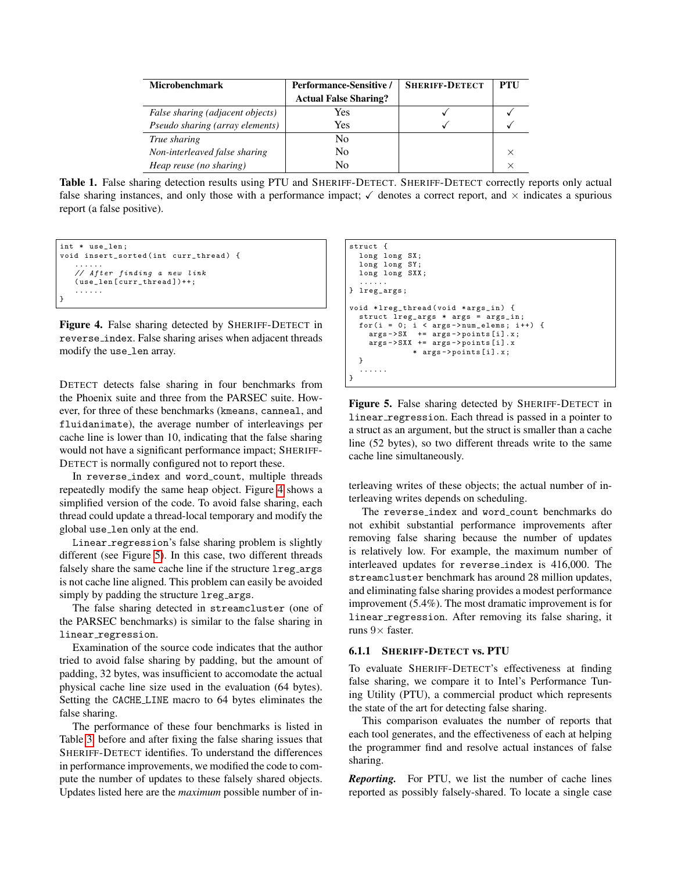| <b>Microbenchmark</b>                  | Performance-Sensitive /      | <b>SHERIFF-DETECT</b> | PTU |
|----------------------------------------|------------------------------|-----------------------|-----|
|                                        | <b>Actual False Sharing?</b> |                       |     |
| False sharing (adjacent objects)       | Yes                          |                       |     |
| <i>Pseudo sharing (array elements)</i> | Yes                          |                       |     |
| True sharing                           | N <sub>0</sub>               |                       |     |
| Non-interleaved false sharing          | N <sub>0</sub>               |                       |     |
| Heap reuse (no sharing)                | N٥                           |                       |     |

<span id="page-9-1"></span>Table 1. False sharing detection results using PTU and SHERIFF-DETECT. SHERIFF-DETECT correctly reports only actual false sharing instances, and only those with a performance impact;  $\checkmark$  denotes a correct report, and  $\times$  indicates a spurious report (a false positive).

```
int * use len:
void insert_sorted(int curr_thread) {
   ......
   // After finding a new link
   ( use_len [ curr_thread ])++;
   ......
}
```
<span id="page-9-2"></span>Figure 4. False sharing detected by SHERIFF-DETECT in reverse index. False sharing arises when adjacent threads modify the use len array.

DETECT detects false sharing in four benchmarks from the Phoenix suite and three from the PARSEC suite. However, for three of these benchmarks (kmeans, canneal, and fluidanimate), the average number of interleavings per cache line is lower than 10, indicating that the false sharing would not have a significant performance impact; SHERIFF-DETECT is normally configured not to report these.

In reverse index and word count, multiple threads repeatedly modify the same heap object. Figure [4](#page-9-2) shows a simplified version of the code. To avoid false sharing, each thread could update a thread-local temporary and modify the global use len only at the end.

Linear\_regression's false sharing problem is slightly different (see Figure [5\)](#page-9-3). In this case, two different threads falsely share the same cache line if the structure lreg\_args is not cache line aligned. This problem can easily be avoided simply by padding the structure lreg\_args.

The false sharing detected in streamcluster (one of the PARSEC benchmarks) is similar to the false sharing in linear\_regression.

Examination of the source code indicates that the author tried to avoid false sharing by padding, but the amount of padding, 32 bytes, was insufficient to accomodate the actual physical cache line size used in the evaluation (64 bytes). Setting the CACHE LINE macro to 64 bytes eliminates the false sharing.

The performance of these four benchmarks is listed in Table [3,](#page-10-1) before and after fixing the false sharing issues that SHERIFF-DETECT identifies. To understand the differences in performance improvements, we modified the code to compute the number of updates to these falsely shared objects. Updates listed here are the *maximum* possible number of in-

```
struct {
   long long SX ;
   long long SY ;
   long long SXX ;
    ......
} lreg_args ;
void * lreg_thread ( void * args_in ) {
   struct lreg_{args} * args = args_{in};
   for (i = 0; i < args -> num_elems ; i ++) {
args -> SX += args -> points [i ]. x;
      args -> SXX += args -> points [ i ]. x
* args -> points [ i ]. x;
   }
   ......
}
```
<span id="page-9-3"></span>Figure 5. False sharing detected by SHERIFF-DETECT in linear\_regression. Each thread is passed in a pointer to a struct as an argument, but the struct is smaller than a cache line (52 bytes), so two different threads write to the same cache line simultaneously.

terleaving writes of these objects; the actual number of interleaving writes depends on scheduling.

The reverse index and word count benchmarks do not exhibit substantial performance improvements after removing false sharing because the number of updates is relatively low. For example, the maximum number of interleaved updates for reverse index is 416,000. The streamcluster benchmark has around 28 million updates, and eliminating false sharing provides a modest performance improvement (5.4%). The most dramatic improvement is for linear regression. After removing its false sharing, it runs  $9\times$  faster.

### <span id="page-9-0"></span>6.1.1 SHERIFF-DETECT vs. PTU

To evaluate SHERIFF-DETECT's effectiveness at finding false sharing, we compare it to Intel's Performance Tuning Utility (PTU), a commercial product which represents the state of the art for detecting false sharing.

This comparison evaluates the number of reports that each tool generates, and the effectiveness of each at helping the programmer find and resolve actual instances of false sharing.

*Reporting.* For PTU, we list the number of cache lines reported as possibly falsely-shared. To locate a single case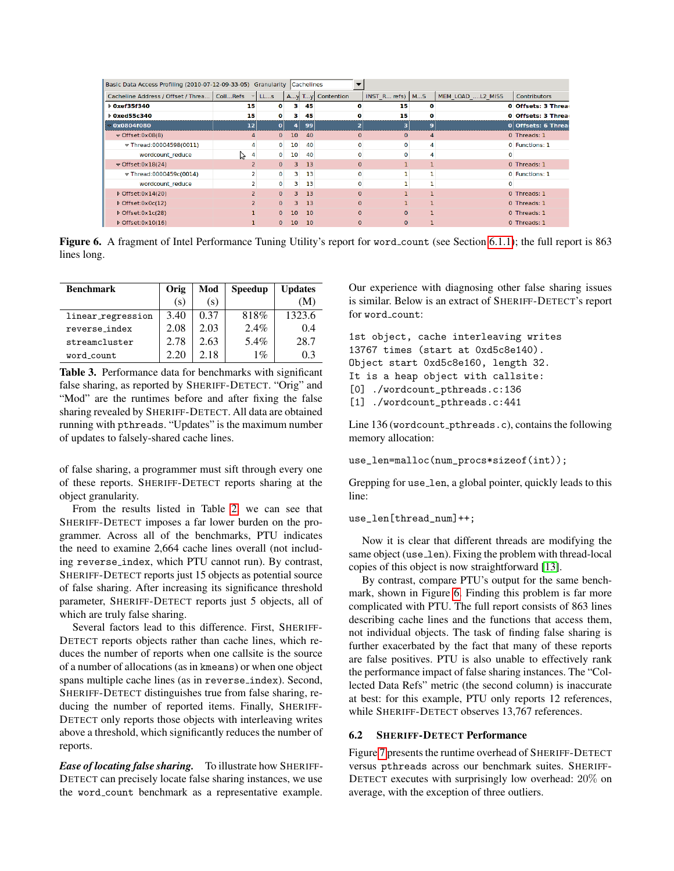| Basic Data Access Profiling (2010-07-12-09-33-05) Granularity Cachelines |                |              |                         |    |                  |                   |                |                  |                     |
|--------------------------------------------------------------------------|----------------|--------------|-------------------------|----|------------------|-------------------|----------------|------------------|---------------------|
| Cacheline Address / Offset / Threa                                       | CollRefs       | LLs          |                         |    | Ay Ty Contention | INST R refs)   MS |                | MEM LOAD L2 MISS | <b>Contributors</b> |
| <b>Dxef35f340</b>                                                        | 15             | o            | з                       | 45 |                  | 15                | o              |                  | 0 Offsets: 3 Thread |
| <b>Dxed55c340</b>                                                        | 15             | o            |                         | 45 |                  | 15                | o              |                  | 0 Offsets: 3 Threat |
| $-0x0804f080$                                                            | 12             | ٥            |                         | 99 |                  | 3                 | 9              |                  | 0 Offsets: 6 Thread |
| $\sqrt{\frac{965 \text{ e} t}{100}}$                                     | 4              | $\Omega$     | 10 <sup>1</sup>         | 40 | $\Omega$         | $\mathbf{0}$      | $\overline{4}$ |                  | 0 Threads: 1        |
| $\sqrt{\text{Thread:00004598(0011)}}$                                    | 4              | 0            | 10 <sup>°</sup>         | 40 | o                | 0                 | 4              |                  | 0 Functions: 1      |
| wordcount reduce                                                         | 4<br>グ         | 0            | 10 <sup>1</sup>         | 40 | o                | O                 | 4              |                  |                     |
| $\sqrt{\text{offset}}$ :0x18(24)                                         |                | $\mathbf{0}$ | 3.                      | 13 | $\Omega$         |                   |                |                  | 0 Threads: 1        |
| $\sqrt{\frac{1}{2}T}$ Thread:0000459c(0014)                              |                | $\mathbf 0$  | 3.                      | 13 |                  |                   |                |                  | 0 Functions: 1      |
| wordcount reduce                                                         | $\overline{2}$ | $\bf{0}$     | 3.                      | 13 | o                |                   |                |                  |                     |
| ▶ Offset:0x14(20)                                                        | $\overline{z}$ | $\Omega$     | $\overline{\mathbf{3}}$ | 13 | $\Omega$         |                   |                |                  | 0 Threads: 1        |
| ▷ Offset:0x0c(12)                                                        | $\overline{z}$ | $\mathbf{0}$ | з.                      | 13 | $\Omega$         |                   |                |                  | 0 Threads: 1        |
| $\triangleright$ Offset:0x1c(28)                                         |                | $\Omega$     | 10 <sup>1</sup>         | 10 | $\Omega$         | $\Omega$          |                |                  | 0 Threads: 1        |
| $\triangleright$ Offset:0x10(16)                                         |                | $\mathbf{O}$ | 10                      | 10 | $\mathbf{0}$     | $\mathbf{0}$      |                |                  | 0 Threads: 1        |

<span id="page-10-2"></span>Figure 6. A fragment of Intel Performance Tuning Utility's report for word\_count (see Section [6.1.1\)](#page-9-0); the full report is 863 lines long.

| <b>Benchmark</b>  | Orig | Mod  | <b>Speedup</b> | <b>Updates</b> |
|-------------------|------|------|----------------|----------------|
|                   | (s)  | (S)  |                | (M)            |
| linear_regression | 3.40 | 0.37 | 818%           | 1323.6         |
| reverse_index     | 2.08 | 2.03 | 2.4%           | 0.4            |
| streamcluster     | 2.78 | 2.63 | 5.4%           | 28.7           |
| word_count        | 2.20 | 2.18 | $1\%$          | 03             |

<span id="page-10-1"></span>Table 3. Performance data for benchmarks with significant false sharing, as reported by SHERIFF-DETECT. "Orig" and "Mod" are the runtimes before and after fixing the false sharing revealed by SHERIFF-DETECT. All data are obtained running with pthreads. "Updates" is the maximum number of updates to falsely-shared cache lines.

of false sharing, a programmer must sift through every one of these reports. SHERIFF-DETECT reports sharing at the object granularity.

From the results listed in Table [2,](#page-8-2) we can see that SHERIFF-DETECT imposes a far lower burden on the programmer. Across all of the benchmarks, PTU indicates the need to examine 2,664 cache lines overall (not including reverse index, which PTU cannot run). By contrast, SHERIFF-DETECT reports just 15 objects as potential source of false sharing. After increasing its significance threshold parameter, SHERIFF-DETECT reports just 5 objects, all of which are truly false sharing.

Several factors lead to this difference. First, SHERIFF-DETECT reports objects rather than cache lines, which reduces the number of reports when one callsite is the source of a number of allocations (as in kmeans) or when one object spans multiple cache lines (as in reverse index). Second, SHERIFF-DETECT distinguishes true from false sharing, reducing the number of reported items. Finally, SHERIFF-DETECT only reports those objects with interleaving writes above a threshold, which significantly reduces the number of reports.

*Ease of locating false sharing.* To illustrate how SHERIFF-DETECT can precisely locate false sharing instances, we use the word count benchmark as a representative example.

Our experience with diagnosing other false sharing issues is similar. Below is an extract of SHERIFF-DETECT's report for word\_count:

```
1st object, cache interleaving writes
13767 times (start at 0xd5c8e140).
Object start 0xd5c8e160, length 32.
It is a heap object with callsite:
[0] ./wordcount_pthreads.c:136
[1] ./wordcount_pthreads.c:441
```
Line 136 (wordcount pthreads.c), contains the following memory allocation:

```
use_len=malloc(num_procs*sizeof(int));
```
Grepping for use\_len, a global pointer, quickly leads to this line:

use\_len[thread\_num]++;

Now it is clear that different threads are modifying the same object (use\_len). Fixing the problem with thread-local copies of this object is now straightforward [\[13\]](#page-14-7).

By contrast, compare PTU's output for the same benchmark, shown in Figure [6.](#page-10-2) Finding this problem is far more complicated with PTU. The full report consists of 863 lines describing cache lines and the functions that access them, not individual objects. The task of finding false sharing is further exacerbated by the fact that many of these reports are false positives. PTU is also unable to effectively rank the performance impact of false sharing instances. The "Collected Data Refs" metric (the second column) is inaccurate at best: for this example, PTU only reports 12 references, while SHERIFF-DETECT observes 13,767 references.

## <span id="page-10-0"></span>6.2 SHERIFF-DETECT Performance

Figure [7](#page-11-1) presents the runtime overhead of SHERIFF-DETECT versus pthreads across our benchmark suites. SHERIFF-DETECT executes with surprisingly low overhead: 20% on average, with the exception of three outliers.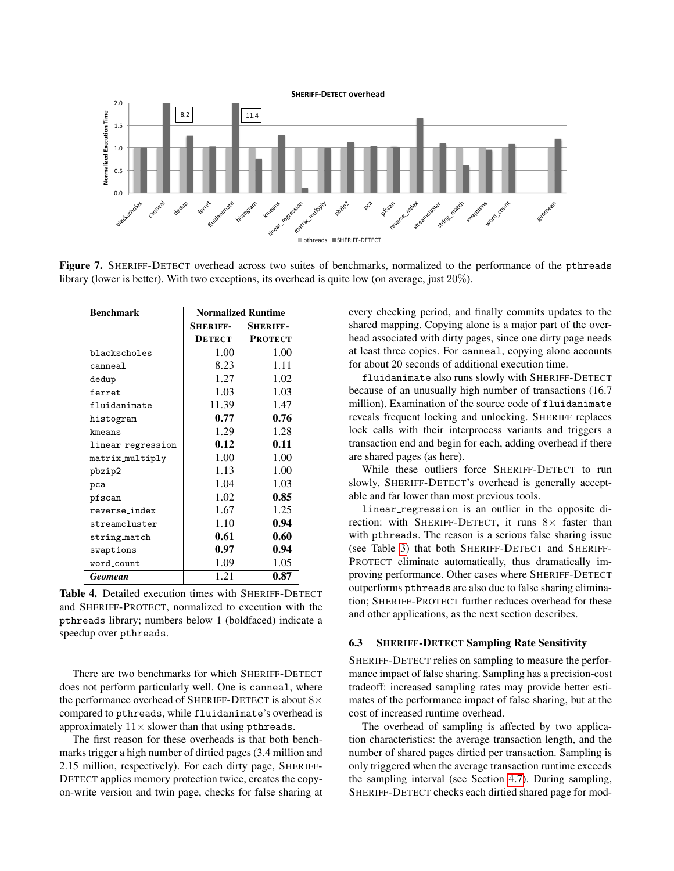

<span id="page-11-1"></span>Figure 7. SHERIFF-DETECT overhead across two suites of benchmarks, normalized to the performance of the pthreads library (lower is better). With two exceptions, its overhead is quite low (on average, just 20%).

| <b>Benchmark</b>  | <b>Normalized Runtime</b> |                 |  |  |  |
|-------------------|---------------------------|-----------------|--|--|--|
|                   | <b>SHERIFF-</b>           | <b>SHERIFF-</b> |  |  |  |
|                   | <b>DETECT</b>             | <b>PROTECT</b>  |  |  |  |
| blackscholes      | 1.00                      | 1.00            |  |  |  |
| canneal           | 8.23                      | 1.11            |  |  |  |
| dedup             | 1.27                      | 1.02            |  |  |  |
| ferret.           | 1.03                      | 1.03            |  |  |  |
| fluidanimate      | 11.39                     | 1.47            |  |  |  |
| histogram         | 0.77                      | 0.76            |  |  |  |
| kmeans            | 1.29                      | 1.28            |  |  |  |
| linear_regression | 0.12                      | 0.11            |  |  |  |
| matrix_multiply   | 1.00                      | 1.00            |  |  |  |
| pbzip2            | 1.13                      | 1.00            |  |  |  |
| pca               | 1.04                      | 1.03            |  |  |  |
| pfscan            | 1.02                      | 0.85            |  |  |  |
| reverse index     | 1.67                      | 1.25            |  |  |  |
| streamcluster     | 1.10                      | 0.94            |  |  |  |
| string_match      | 0.61                      | 0.60            |  |  |  |
| swaptions         | 0.97                      | 0.94            |  |  |  |
| word_count        | 1.09                      | 1.05            |  |  |  |
| <b>Geomean</b>    | 1.21                      | 0.87            |  |  |  |

<span id="page-11-2"></span>Table 4. Detailed execution times with SHERIFF-DETECT and SHERIFF-PROTECT, normalized to execution with the pthreads library; numbers below 1 (boldfaced) indicate a speedup over pthreads.

There are two benchmarks for which SHERIFF-DETECT does not perform particularly well. One is canneal, where the performance overhead of SHERIFF-DETECT is about 8× compared to pthreads, while fluidanimate's overhead is approximately  $11 \times$  slower than that using pthreads.

The first reason for these overheads is that both benchmarks trigger a high number of dirtied pages (3.4 million and 2.15 million, respectively). For each dirty page, SHERIFF-DETECT applies memory protection twice, creates the copyon-write version and twin page, checks for false sharing at every checking period, and finally commits updates to the shared mapping. Copying alone is a major part of the overhead associated with dirty pages, since one dirty page needs at least three copies. For canneal, copying alone accounts for about 20 seconds of additional execution time.

fluidanimate also runs slowly with SHERIFF-DETECT because of an unusually high number of transactions (16.7 million). Examination of the source code of fluidanimate reveals frequent locking and unlocking. SHERIFF replaces lock calls with their interprocess variants and triggers a transaction end and begin for each, adding overhead if there are shared pages (as here).

While these outliers force SHERIFF-DETECT to run slowly, SHERIFF-DETECT's overhead is generally acceptable and far lower than most previous tools.

linear regression is an outlier in the opposite direction: with SHERIFF-DETECT, it runs  $8 \times$  faster than with pthreads. The reason is a serious false sharing issue (see Table [3\)](#page-10-1) that both SHERIFF-DETECT and SHERIFF-PROTECT eliminate automatically, thus dramatically improving performance. Other cases where SHERIFF-DETECT outperforms pthreads are also due to false sharing elimination; SHERIFF-PROTECT further reduces overhead for these and other applications, as the next section describes.

## <span id="page-11-0"></span>6.3 SHERIFF-DETECT Sampling Rate Sensitivity

SHERIFF-DETECT relies on sampling to measure the performance impact of false sharing. Sampling has a precision-cost tradeoff: increased sampling rates may provide better estimates of the performance impact of false sharing, but at the cost of increased runtime overhead.

The overhead of sampling is affected by two application characteristics: the average transaction length, and the number of shared pages dirtied per transaction. Sampling is only triggered when the average transaction runtime exceeds the sampling interval (see Section [4.7\)](#page-6-1). During sampling, SHERIFF-DETECT checks each dirtied shared page for mod-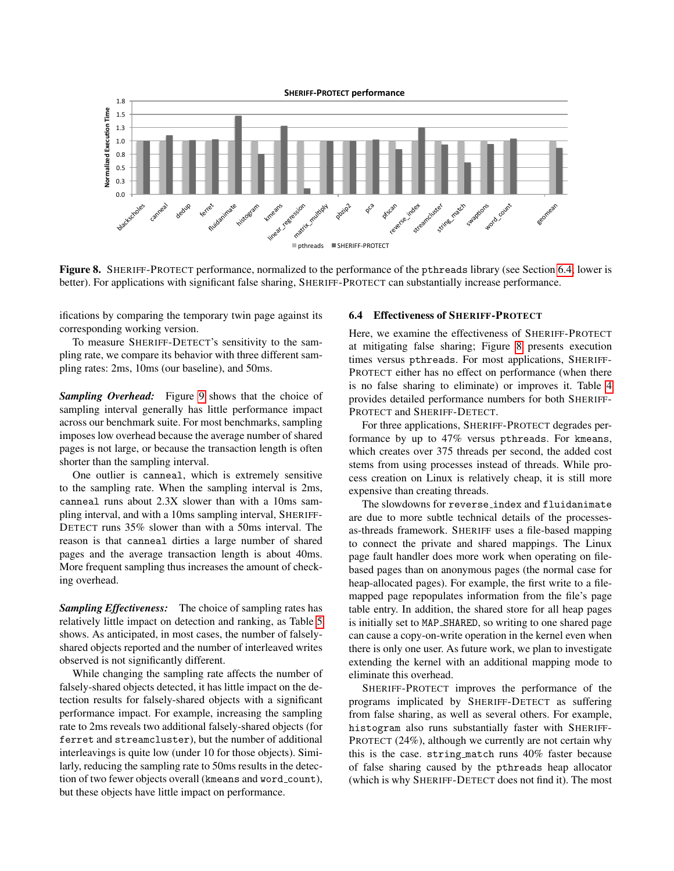

<span id="page-12-1"></span>Figure 8. SHERIFF-PROTECT performance, normalized to the performance of the pthreads library (see Section [6.4;](#page-12-0) lower is better). For applications with significant false sharing, SHERIFF-PROTECT can substantially increase performance.

ifications by comparing the temporary twin page against its corresponding working version.

To measure SHERIFF-DETECT's sensitivity to the sampling rate, we compare its behavior with three different sampling rates: 2ms, 10ms (our baseline), and 50ms.

*Sampling Overhead:* Figure [9](#page-13-1) shows that the choice of sampling interval generally has little performance impact across our benchmark suite. For most benchmarks, sampling imposes low overhead because the average number of shared pages is not large, or because the transaction length is often shorter than the sampling interval.

One outlier is canneal, which is extremely sensitive to the sampling rate. When the sampling interval is 2ms, canneal runs about 2.3X slower than with a 10ms sampling interval, and with a 10ms sampling interval, SHERIFF-DETECT runs 35% slower than with a 50ms interval. The reason is that canneal dirties a large number of shared pages and the average transaction length is about 40ms. More frequent sampling thus increases the amount of checking overhead.

*Sampling Effectiveness:* The choice of sampling rates has relatively little impact on detection and ranking, as Table [5](#page-13-2) shows. As anticipated, in most cases, the number of falselyshared objects reported and the number of interleaved writes observed is not significantly different.

While changing the sampling rate affects the number of falsely-shared objects detected, it has little impact on the detection results for falsely-shared objects with a significant performance impact. For example, increasing the sampling rate to 2ms reveals two additional falsely-shared objects (for ferret and streamcluster), but the number of additional interleavings is quite low (under 10 for those objects). Similarly, reducing the sampling rate to 50ms results in the detection of two fewer objects overall (kmeans and word\_count), but these objects have little impact on performance.

#### <span id="page-12-0"></span>6.4 Effectiveness of SHERIFF-PROTECT

Here, we examine the effectiveness of SHERIFF-PROTECT at mitigating false sharing; Figure [8](#page-12-1) presents execution times versus pthreads. For most applications, SHERIFF-PROTECT either has no effect on performance (when there is no false sharing to eliminate) or improves it. Table [4](#page-11-2) provides detailed performance numbers for both SHERIFF-PROTECT and SHERIFF-DETECT.

For three applications, SHERIFF-PROTECT degrades performance by up to 47% versus pthreads. For kmeans, which creates over 375 threads per second, the added cost stems from using processes instead of threads. While process creation on Linux is relatively cheap, it is still more expensive than creating threads.

The slowdowns for reverse index and fluidanimate are due to more subtle technical details of the processesas-threads framework. SHERIFF uses a file-based mapping to connect the private and shared mappings. The Linux page fault handler does more work when operating on filebased pages than on anonymous pages (the normal case for heap-allocated pages). For example, the first write to a filemapped page repopulates information from the file's page table entry. In addition, the shared store for all heap pages is initially set to MAP SHARED, so writing to one shared page can cause a copy-on-write operation in the kernel even when there is only one user. As future work, we plan to investigate extending the kernel with an additional mapping mode to eliminate this overhead.

SHERIFF-PROTECT improves the performance of the programs implicated by SHERIFF-DETECT as suffering from false sharing, as well as several others. For example, histogram also runs substantially faster with SHERIFF-PROTECT (24%), although we currently are not certain why this is the case. string match runs 40% faster because of false sharing caused by the pthreads heap allocator (which is why SHERIFF-DETECT does not find it). The most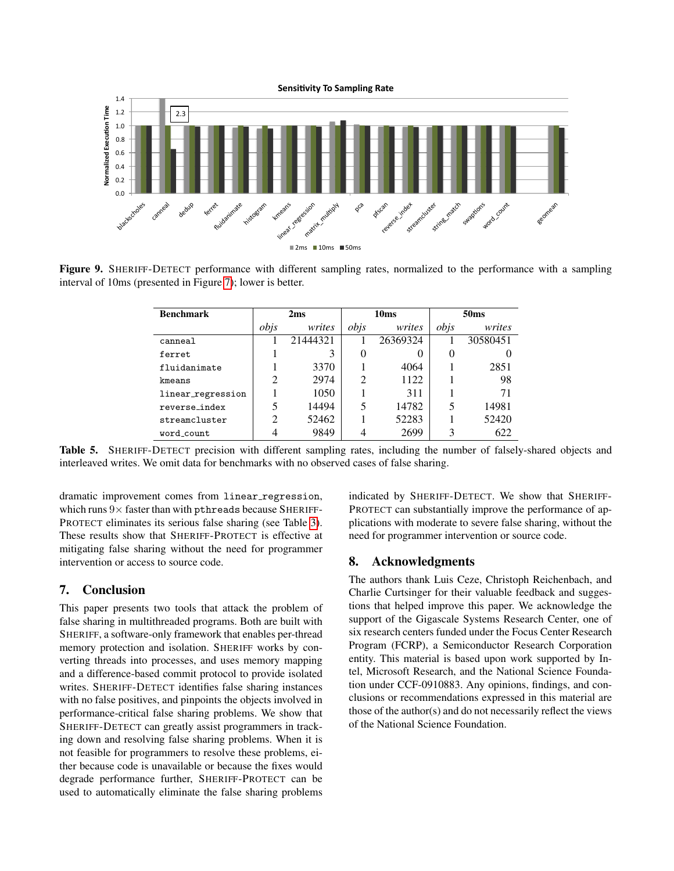

<span id="page-13-1"></span>Figure 9. SHERIFF-DETECT performance with different sampling rates, normalized to the performance with a sampling interval of 10ms (presented in Figure [7\)](#page-11-1); lower is better.

| <b>Benchmark</b>  |                | 2ms      |                | 10 <sub>ms</sub> | 50 <sub>ms</sub> |          |  |
|-------------------|----------------|----------|----------------|------------------|------------------|----------|--|
|                   | obis           | writes   | obis           | writes           | obis             | writes   |  |
| canneal           |                | 21444321 |                | 26369324         |                  | 30580451 |  |
| ferret.           |                | 3        | 0              | $\theta$         | $\theta$         |          |  |
| fluidanimate      |                | 3370     |                | 4064             |                  | 2851     |  |
| kmeans            | $\mathfrak{D}$ | 2974     | $\mathfrak{D}$ | 1122             |                  | 98       |  |
| linear_regression |                | 1050     |                | 311              |                  | 71       |  |
| reverse index     | 5              | 14494    | 5              | 14782            | 5                | 14981    |  |
| streamcluster     | $\mathfrak{D}$ | 52462    |                | 52283            |                  | 52420    |  |
| word count        |                | 9849     |                | 2699             | 3                | 622      |  |

<span id="page-13-2"></span>Table 5. SHERIFF-DETECT precision with different sampling rates, including the number of falsely-shared objects and interleaved writes. We omit data for benchmarks with no observed cases of false sharing.

dramatic improvement comes from linear\_regression, which runs  $9 \times$  faster than with pthreads because SHERIFF-PROTECT eliminates its serious false sharing (see Table [3\)](#page-10-1). These results show that SHERIFF-PROTECT is effective at mitigating false sharing without the need for programmer intervention or access to source code.

# <span id="page-13-0"></span>7. Conclusion

This paper presents two tools that attack the problem of false sharing in multithreaded programs. Both are built with SHERIFF, a software-only framework that enables per-thread memory protection and isolation. SHERIFF works by converting threads into processes, and uses memory mapping and a difference-based commit protocol to provide isolated writes. SHERIFF-DETECT identifies false sharing instances with no false positives, and pinpoints the objects involved in performance-critical false sharing problems. We show that SHERIFF-DETECT can greatly assist programmers in tracking down and resolving false sharing problems. When it is not feasible for programmers to resolve these problems, either because code is unavailable or because the fixes would degrade performance further, SHERIFF-PROTECT can be used to automatically eliminate the false sharing problems

indicated by SHERIFF-DETECT. We show that SHERIFF-PROTECT can substantially improve the performance of applications with moderate to severe false sharing, without the need for programmer intervention or source code.

# 8. Acknowledgments

The authors thank Luis Ceze, Christoph Reichenbach, and Charlie Curtsinger for their valuable feedback and suggestions that helped improve this paper. We acknowledge the support of the Gigascale Systems Research Center, one of six research centers funded under the Focus Center Research Program (FCRP), a Semiconductor Research Corporation entity. This material is based upon work supported by Intel, Microsoft Research, and the National Science Foundation under CCF-0910883. Any opinions, findings, and conclusions or recommendations expressed in this material are those of the author(s) and do not necessarily reflect the views of the National Science Foundation.